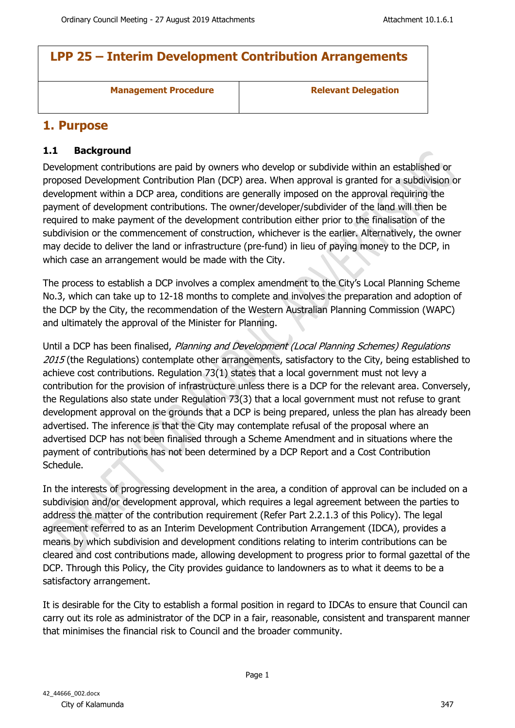# **LPP 25 – Interim Development Contribution Arrangements**

**Management Procedure Relevant Delegation** 

## **1. Purpose**

### **1.1 Background**

Development contributions are paid by owners who develop or subdivide within an established or proposed Development Contribution Plan (DCP) area. When approval is granted for a subdivision or development within a DCP area, conditions are generally imposed on the approval requiring the payment of development contributions. The owner/developer/subdivider of the land will then be required to make payment of the development contribution either prior to the finalisation of the subdivision or the commencement of construction, whichever is the earlier. Alternatively, the owner may decide to deliver the land or infrastructure (pre-fund) in lieu of paying money to the DCP, in which case an arrangement would be made with the City.

The process to establish a DCP involves a complex amendment to the City's Local Planning Scheme No.3, which can take up to 12-18 months to complete and involves the preparation and adoption of the DCP by the City, the recommendation of the Western Australian Planning Commission (WAPC) and ultimately the approval of the Minister for Planning.

Until a DCP has been finalised, *Planning and Development (Local Planning Schemes) Regulations 2015* (the Regulations) contemplate other arrangements, satisfactory to the City, being established to achieve cost contributions. Regulation 73(1) states that a local government must not levy a contribution for the provision of infrastructure unless there is a DCP for the relevant area. Conversely, the Regulations also state under Regulation 73(3) that a local government must not refuse to grant development approval on the grounds that a DCP is being prepared, unless the plan has already been advertised. The inference is that the City may contemplate refusal of the proposal where an advertised DCP has not been finalised through a Scheme Amendment and in situations where the payment of contributions has not been determined by a DCP Report and a Cost Contribution Schedule.

In the interests of progressing development in the area, a condition of approval can be included on a subdivision and/or development approval, which requires a legal agreement between the parties to address the matter of the contribution requirement (Refer Part 2.2.1.3 of this Policy). The legal agreement referred to as an Interim Development Contribution Arrangement (IDCA), provides a means by which subdivision and development conditions relating to interim contributions can be cleared and cost contributions made, allowing development to progress prior to formal gazettal of the DCP. Through this Policy, the City provides guidance to landowners as to what it deems to be a satisfactory arrangement.

It is desirable for the City to establish a formal position in regard to IDCAs to ensure that Council can carry out its role as administrator of the DCP in a fair, reasonable, consistent and transparent manner that minimises the financial risk to Council and the broader community.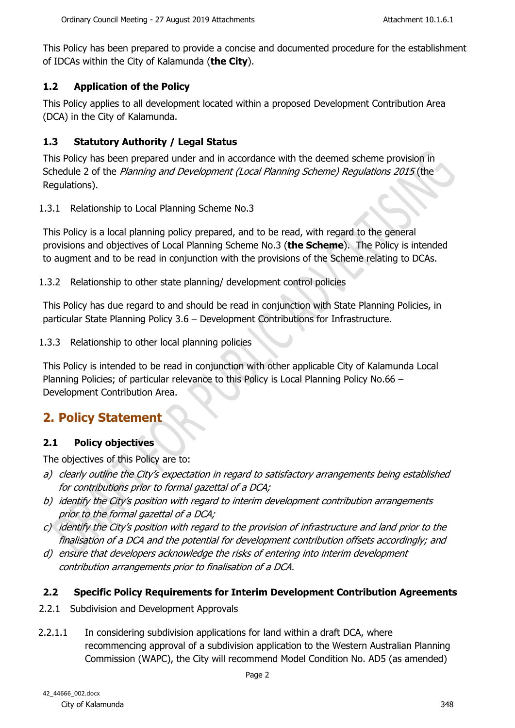This Policy has been prepared to provide a concise and documented procedure for the establishment of IDCAs within the City of Kalamunda (**the City**).

### **1.2 Application of the Policy**

This Policy applies to all development located within a proposed Development Contribution Area (DCA) in the City of Kalamunda.

## **1.3 Statutory Authority / Legal Status**

This Policy has been prepared under and in accordance with the deemed scheme provision in Schedule 2 of the *Planning and Development (Local Planning Scheme) Regulations 2015* (the Regulations).

1.3.1 Relationship to Local Planning Scheme No.3

This Policy is a local planning policy prepared, and to be read, with regard to the general provisions and objectives of Local Planning Scheme No.3 (**the Scheme**). The Policy is intended to augment and to be read in conjunction with the provisions of the Scheme relating to DCAs.

1.3.2 Relationship to other state planning/ development control policies

This Policy has due regard to and should be read in conjunction with State Planning Policies, in particular State Planning Policy 3.6 – Development Contributions for Infrastructure.

1.3.3 Relationship to other local planning policies

This Policy is intended to be read in conjunction with other applicable City of Kalamunda Local Planning Policies; of particular relevance to this Policy is Local Planning Policy No.66 – Development Contribution Area.

# **2. Policy Statement**

## **2.1 Policy objectives**

The objectives of this Policy are to:

- *a) clearly outline the City's expectation in regard to satisfactory arrangements being established for contributions prior to formal gazettal of a DCA;*
- *b) identify the City's position with regard to interim development contribution arrangements prior to the formal gazettal of a DCA;*
- *c) identify the City's position with regard to the provision of infrastructure and land prior to the finalisation of a DCA and the potential for development contribution offsets accordingly; and*
- *d) ensure that developers acknowledge the risks of entering into interim development contribution arrangements prior to finalisation of a DCA.*

## **2.2 Specific Policy Requirements for Interim Development Contribution Agreements**

- 2.2.1 Subdivision and Development Approvals
- 2.2.1.1 In considering subdivision applications for land within a draft DCA, where recommencing approval of a subdivision application to the Western Australian Planning Commission (WAPC), the City will recommend Model Condition No. AD5 (as amended)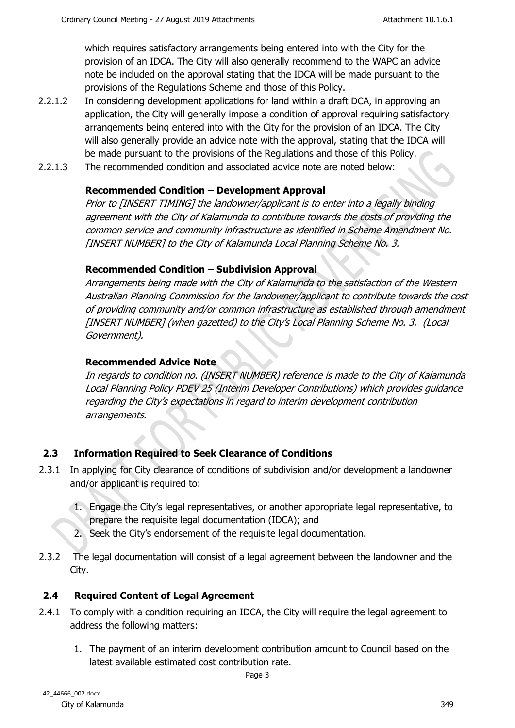which requires satisfactory arrangements being entered into with the City for the provision of an IDCA. The City will also generally recommend to the WAPC an advice note be included on the approval stating that the IDCA will be made pursuant to the provisions of the Regulations Scheme and those of this Policy.

- 2.2.1.2 In considering development applications for land within a draft DCA, in approving an application, the City will generally impose a condition of approval requiring satisfactory arrangements being entered into with the City for the provision of an IDCA. The City will also generally provide an advice note with the approval, stating that the IDCA will be made pursuant to the provisions of the Regulations and those of this Policy.
- 2.2.1.3 The recommended condition and associated advice note are noted below:

## **Recommended Condition – Development Approval**

*Prior to [INSERT TIMING] the landowner/applicant is to enter into a legally binding agreement with the City of Kalamunda to contribute towards the costs of providing the common service and community infrastructure as identified in Scheme Amendment No. [INSERT NUMBER] to the City of Kalamunda Local Planning Scheme No. 3.*

#### **Recommended Condition – Subdivision Approval**

*Arrangements being made with the City of Kalamunda to the satisfaction of the Western Australian Planning Commission for the landowner/applicant to contribute towards the cost of providing community and/or common infrastructure as established through amendment [INSERT NUMBER] (when gazetted) to the City's Local Planning Scheme No. 3. (Local Government).* 

### **Recommended Advice Note**

*In regards to condition no. (INSERT NUMBER) reference is made to the City of Kalamunda Local Planning Policy PDEV 25 (Interim Developer Contributions) which provides guidance regarding the City's expectations in regard to interim development contribution arrangements.* 

## **2.3 Information Required to Seek Clearance of Conditions**

- 2.3.1 In applying for City clearance of conditions of subdivision and/or development a landowner and/or applicant is required to:
	- 1. Engage the City's legal representatives, or another appropriate legal representative, to prepare the requisite legal documentation (IDCA); and
	- 2. Seek the City's endorsement of the requisite legal documentation.
- 2.3.2 The legal documentation will consist of a legal agreement between the landowner and the City.

## **2.4 Required Content of Legal Agreement**

- 2.4.1 To comply with a condition requiring an IDCA, the City will require the legal agreement to address the following matters:
	- 1. The payment of an interim development contribution amount to Council based on the latest available estimated cost contribution rate.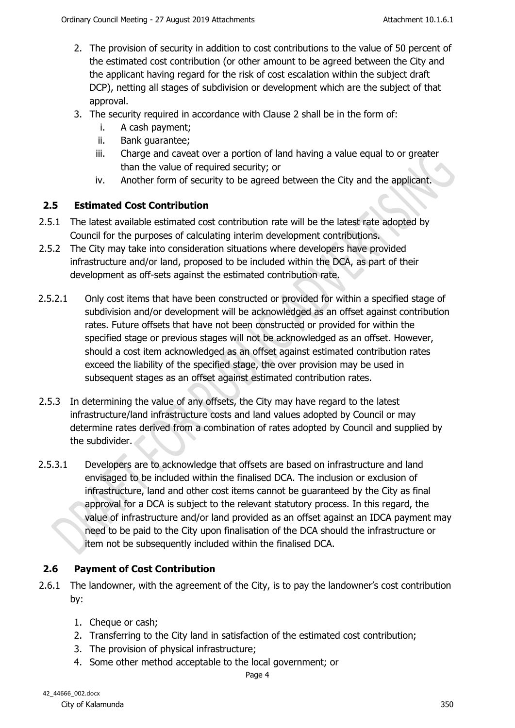- 2. The provision of security in addition to cost contributions to the value of 50 percent of the estimated cost contribution (or other amount to be agreed between the City and the applicant having regard for the risk of cost escalation within the subject draft DCP), netting all stages of subdivision or development which are the subject of that approval.
- 3. The security required in accordance with Clause 2 shall be in the form of:
	- i. A cash payment;
	- ii. Bank guarantee;
	- iii. Charge and caveat over a portion of land having a value equal to or greater than the value of required security; or
	- iv. Another form of security to be agreed between the City and the applicant.

#### **2.5 Estimated Cost Contribution**

- 2.5.1 The latest available estimated cost contribution rate will be the latest rate adopted by Council for the purposes of calculating interim development contributions.
- 2.5.2 The City may take into consideration situations where developers have provided infrastructure and/or land, proposed to be included within the DCA, as part of their development as off-sets against the estimated contribution rate.
- 2.5.2.1 Only cost items that have been constructed or provided for within a specified stage of subdivision and/or development will be acknowledged as an offset against contribution rates. Future offsets that have not been constructed or provided for within the specified stage or previous stages will not be acknowledged as an offset. However, should a cost item acknowledged as an offset against estimated contribution rates exceed the liability of the specified stage, the over provision may be used in subsequent stages as an offset against estimated contribution rates.
- 2.5.3 In determining the value of any offsets, the City may have regard to the latest infrastructure/land infrastructure costs and land values adopted by Council or may determine rates derived from a combination of rates adopted by Council and supplied by the subdivider.
- 2.5.3.1 Developers are to acknowledge that offsets are based on infrastructure and land envisaged to be included within the finalised DCA. The inclusion or exclusion of infrastructure, land and other cost items cannot be guaranteed by the City as final approval for a DCA is subject to the relevant statutory process. In this regard, the value of infrastructure and/or land provided as an offset against an IDCA payment may need to be paid to the City upon finalisation of the DCA should the infrastructure or item not be subsequently included within the finalised DCA.

## **2.6 Payment of Cost Contribution**

- 2.6.1 The landowner, with the agreement of the City, is to pay the landowner's cost contribution by:
	- 1. Cheque or cash;
	- 2. Transferring to the City land in satisfaction of the estimated cost contribution;
	- 3. The provision of physical infrastructure;
	- 4. Some other method acceptable to the local government; or

Page 4